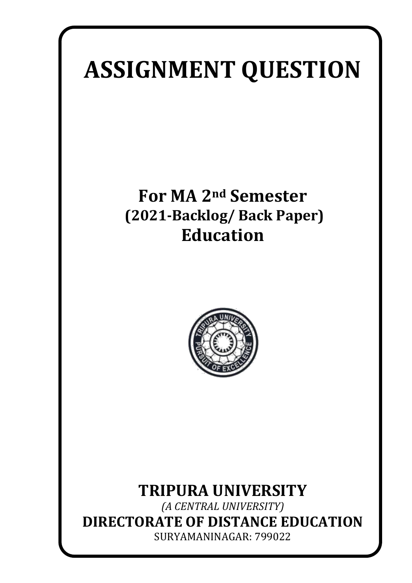# **ASSIGNMENT QUESTION**

# **For MA 2nd Semester (2021-Backlog/ Back Paper) Education**



## **TRIPURA UNIVERSITY**

*(A CENTRAL UNIVERSITY)* **DIRECTORATE OF DISTANCE EDUCATION** SURYAMANINAGAR: 799022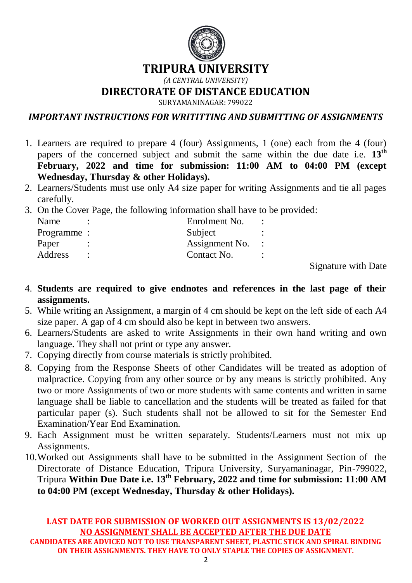

#### **TRIPURA UNIVERSITY**

*(A CENTRAL UNIVERSITY)*

**DIRECTORATE OF DISTANCE EDUCATION**

SURYAMANINAGAR: 799022

*IMPORTANT INSTRUCTIONS FOR WRITITTING AND SUBMITTING OF ASSIGNMENTS*

- 1. Learners are required to prepare 4 (four) Assignments, 1 (one) each from the 4 (four) papers of the concerned subject and submit the same within the due date i.e. **13th February, 2022 and time for submission: 11:00 AM to 04:00 PM (except Wednesday, Thursday & other Holidays).**
- 2. Learners/Students must use only A4 size paper for writing Assignments and tie all pages carefully.
- 3. On the Cover Page, the following information shall have to be provided:

| Name        | Enrolment No.  |  |
|-------------|----------------|--|
| Programme : | Subject        |  |
| Paper       | Assignment No. |  |
| Address     | Contact No.    |  |
|             |                |  |

Signature with Date

- 4. **Students are required to give endnotes and references in the last page of their assignments.**
- 5. While writing an Assignment, a margin of 4 cm should be kept on the left side of each A4 size paper. A gap of 4 cm should also be kept in between two answers.
- 6. Learners/Students are asked to write Assignments in their own hand writing and own language. They shall not print or type any answer.
- 7. Copying directly from course materials is strictly prohibited.
- 8. Copying from the Response Sheets of other Candidates will be treated as adoption of malpractice. Copying from any other source or by any means is strictly prohibited. Any two or more Assignments of two or more students with same contents and written in same language shall be liable to cancellation and the students will be treated as failed for that particular paper (s). Such students shall not be allowed to sit for the Semester End Examination/Year End Examination.
- 9. Each Assignment must be written separately. Students/Learners must not mix up Assignments.
- 10.Worked out Assignments shall have to be submitted in the Assignment Section of the Directorate of Distance Education, Tripura University, Suryamaninagar, Pin-799022, Tripura **Within Due Date i.e. 13th February, 2022 and time for submission: 11:00 AM to 04:00 PM (except Wednesday, Thursday & other Holidays).**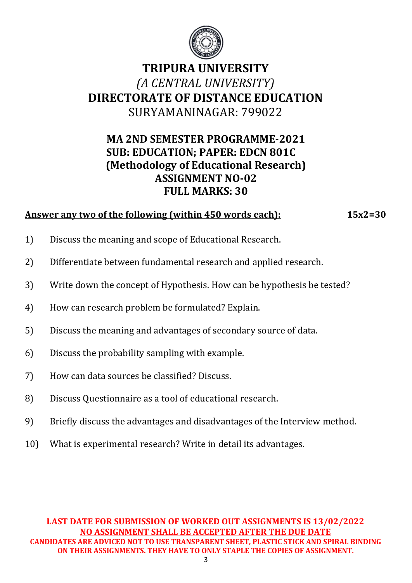

### **MA 2ND SEMESTER PROGRAMME-2021 SUB: EDUCATION; PAPER: EDCN 801C (Methodology of Educational Research) ASSIGNMENT NO-02 FULL MARKS: 30**

#### **Answer any two of the following (within 450 words each): 15x2=30**

- 1) Discuss the meaning and scope of Educational Research.
- 2) Differentiate between fundamental research and applied research.
- 3) Write down the concept of Hypothesis. How can be hypothesis be tested?
- 4) How can research problem be formulated? Explain.
- 5) Discuss the meaning and advantages of secondary source of data.
- 6) Discuss the probability sampling with example.
- 7) How can data sources be classified? Discuss.
- 8) Discuss Questionnaire as a tool of educational research.
- 9) Briefly discuss the advantages and disadvantages of the Interview method.
- 10) What is experimental research? Write in detail its advantages.

**LAST DATE FOR SUBMISSION OF WORKED OUT ASSIGNMENTS IS 13/02/2022 NO ASSIGNMENT SHALL BE ACCEPTED AFTER THE DUE DATE CANDIDATES ARE ADVICED NOT TO USE TRANSPARENT SHEET, PLASTIC STICK AND SPIRAL BINDING ON THEIR ASSIGNMENTS. THEY HAVE TO ONLY STAPLE THE COPIES OF ASSIGNMENT.**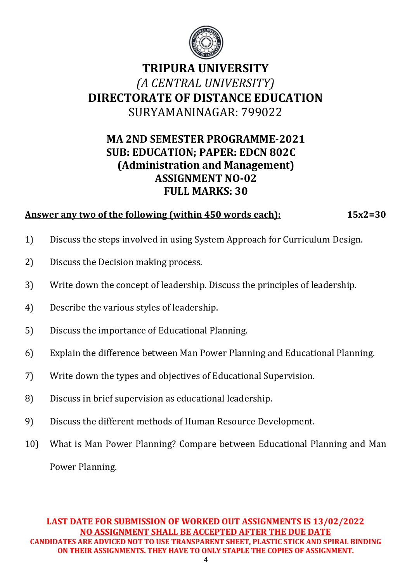

#### **MA 2ND SEMESTER PROGRAMME-2021 SUB: EDUCATION; PAPER: EDCN 802C (Administration and Management) ASSIGNMENT NO-02 FULL MARKS: 30**

#### **Answer any two of the following (within 450 words each): 15x2=30**

- 1) Discuss the steps involved in using System Approach for Curriculum Design.
- 2) Discuss the Decision making process.
- 3) Write down the concept of leadership. Discuss the principles of leadership.
- 4) Describe the various styles of leadership.
- 5) Discuss the importance of Educational Planning.
- 6) Explain the difference between Man Power Planning and Educational Planning.
- 7) Write down the types and objectives of Educational Supervision.
- 8) Discuss in brief supervision as educational leadership.
- 9) Discuss the different methods of Human Resource Development.
- 10) What is Man Power Planning? Compare between Educational Planning and Man Power Planning.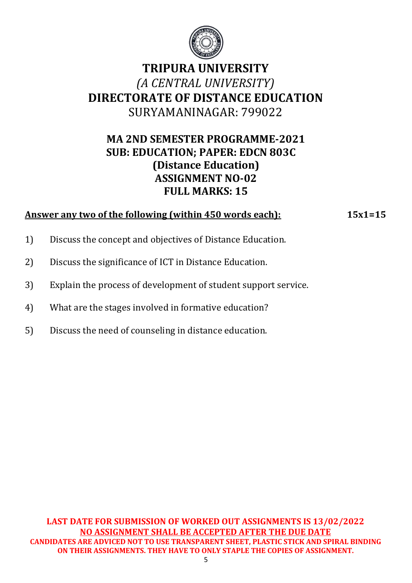

#### **MA 2ND SEMESTER PROGRAMME-2021 SUB: EDUCATION; PAPER: EDCN 803C (Distance Education) ASSIGNMENT NO-02 FULL MARKS: 15**

#### **Answer any two of the following (within 450 words each): 15x1=15**

- 1) Discuss the concept and objectives of Distance Education.
- 2) Discuss the significance of ICT in Distance Education.
- 3) Explain the process of development of student support service.
- 4) What are the stages involved in formative education?
- 5) Discuss the need of counseling in distance education.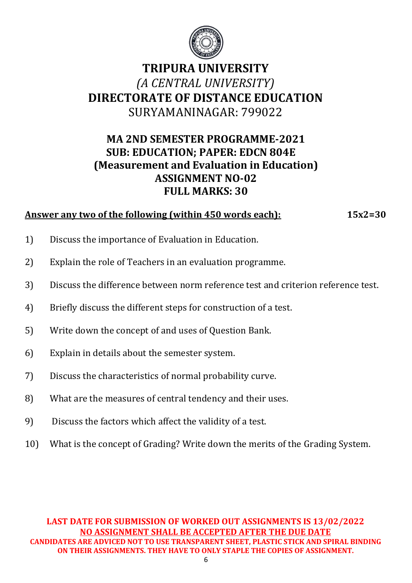

## **MA 2ND SEMESTER PROGRAMME-2021 SUB: EDUCATION; PAPER: EDCN 804E (Measurement and Evaluation in Education) ASSIGNMENT NO-02 FULL MARKS: 30**

#### **Answer any two of the following (within 450 words each): 15x2=30**

- 1) Discuss the importance of Evaluation in Education.
- 2) Explain the role of Teachers in an evaluation programme.
- 3) Discuss the difference between norm reference test and criterion reference test.
- 4) Briefly discuss the different steps for construction of a test.
- 5) Write down the concept of and uses of Question Bank.
- 6) Explain in details about the semester system.
- 7) Discuss the characteristics of normal probability curve.
- 8) What are the measures of central tendency and their uses.
- 9) Discuss the factors which affect the validity of a test.
- 10) What is the concept of Grading? Write down the merits of the Grading System.

**LAST DATE FOR SUBMISSION OF WORKED OUT ASSIGNMENTS IS 13/02/2022 NO ASSIGNMENT SHALL BE ACCEPTED AFTER THE DUE DATE CANDIDATES ARE ADVICED NOT TO USE TRANSPARENT SHEET, PLASTIC STICK AND SPIRAL BINDING ON THEIR ASSIGNMENTS. THEY HAVE TO ONLY STAPLE THE COPIES OF ASSIGNMENT.**